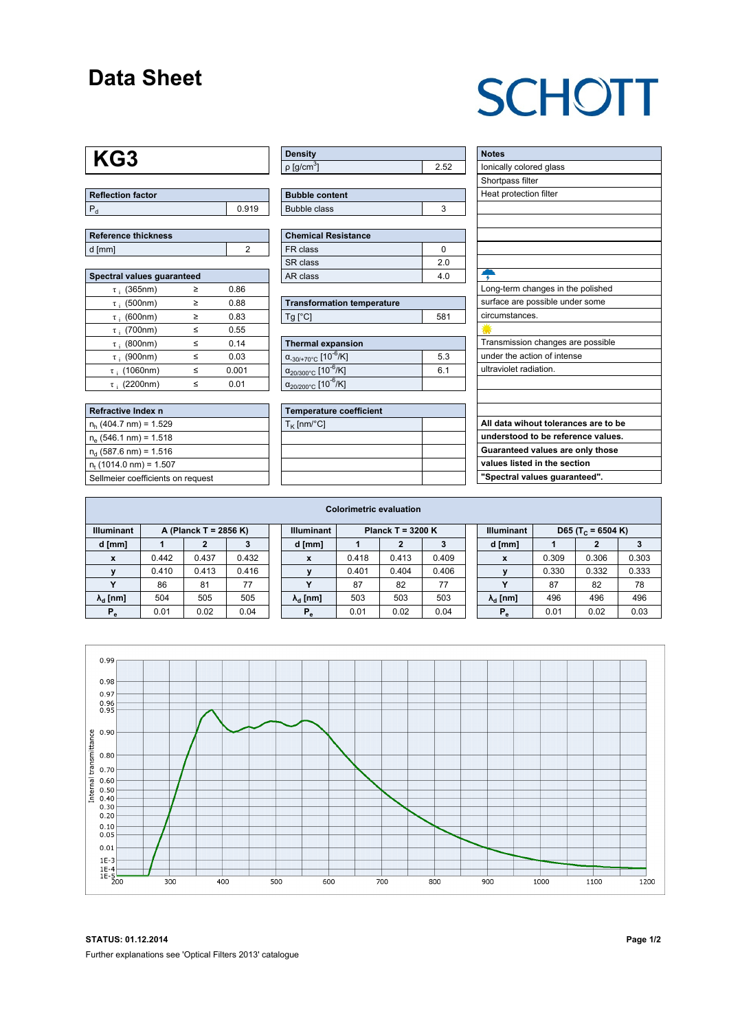## **Data Sheet**

## **SCHOTT**

## **KG3**

| <b>Reflection factor</b> |     |
|--------------------------|-----|
|                          | 919 |

| Reference thickness |  |  |  |  |  |  |  |
|---------------------|--|--|--|--|--|--|--|
| d [mm]              |  |  |  |  |  |  |  |

| Spectral values guaranteed |        |       |  |  |  |  |  |  |  |
|----------------------------|--------|-------|--|--|--|--|--|--|--|
| $\tau$ ; (365nm)           | $\geq$ | 0.86  |  |  |  |  |  |  |  |
| $\tau$ ; (500nm)           | ≥      | 0.88  |  |  |  |  |  |  |  |
| $\tau$ ; (600nm)           | ≥      | 0.83  |  |  |  |  |  |  |  |
| $\tau$ ; (700nm)           | $\leq$ | 0.55  |  |  |  |  |  |  |  |
| $\tau$ : (800nm)           | $\leq$ | 0.14  |  |  |  |  |  |  |  |
| $\tau$ ; (900nm)           | ≤      | 0.03  |  |  |  |  |  |  |  |
| $\tau$ ; (1060nm)          | ≤      | 0.001 |  |  |  |  |  |  |  |
| $\tau$ : (2200nm)          | <      | 0.01  |  |  |  |  |  |  |  |

| <b>Refractive Index n</b>         |
|-----------------------------------|
| $n_h$ (404.7 nm) = 1.529          |
| $n_e$ (546.1 nm) = 1.518          |
| $n_d$ (587.6 nm) = 1.516          |
| $n_t$ (1014.0 nm) = 1.507         |
| Sellmeier coefficients on request |

| Density                 |  |
|-------------------------|--|
| │ρ [g/cm <sup>ა</sup> ] |  |

| <b>Bubble content</b> |  |
|-----------------------|--|
| Bubble class          |  |
|                       |  |

| Chemical Resistance |     |  |  |  |  |  |  |
|---------------------|-----|--|--|--|--|--|--|
| FR class            |     |  |  |  |  |  |  |
| l SR class          | 2 በ |  |  |  |  |  |  |
| l AR class          | 4 በ |  |  |  |  |  |  |

| <b>Transformation temperature</b> |     |  |  |  |  |
|-----------------------------------|-----|--|--|--|--|
| $Tg$ [ $^{\circ}$ C]              | 581 |  |  |  |  |

| Thermal expansion                                 |     |  |  |  |  |  |
|---------------------------------------------------|-----|--|--|--|--|--|
| $\alpha_{.30/+70\degree}$ C [10 <sup>-6</sup> /K] | 5.3 |  |  |  |  |  |
| $\alpha_{20/300^{\circ}C}$ [10 <sup>-6</sup> /K]  | 61  |  |  |  |  |  |
| $\alpha_{20/200^{\circ}C}$ [10 $\overline{6}$ /K] |     |  |  |  |  |  |

| <b>Temperature coefficient</b> |  |  |  |  |  |  |
|--------------------------------|--|--|--|--|--|--|
| $T_K$ [nm/°C]                  |  |  |  |  |  |  |
|                                |  |  |  |  |  |  |
|                                |  |  |  |  |  |  |
|                                |  |  |  |  |  |  |
|                                |  |  |  |  |  |  |

| <b>Notes</b>                         |
|--------------------------------------|
| lonically colored glass              |
| Shortpass filter                     |
| Heat protection filter               |
|                                      |
|                                      |
|                                      |
|                                      |
|                                      |
|                                      |
| Long-term changes in the polished    |
| surface are possible under some      |
| circumstances.                       |
|                                      |
| Transmission changes are possible    |
| under the action of intense          |
| ultraviolet radiation.               |
|                                      |
|                                      |
|                                      |
| All data wihout tolerances are to be |
| understood to be reference values.   |
| Guaranteed values are only those     |

**values listed in the section "Spectral values guaranteed".**

| <b>Colorimetric evaluation</b> |                       |       |       |  |                        |                     |       |       |  |                        |                               |       |       |
|--------------------------------|-----------------------|-------|-------|--|------------------------|---------------------|-------|-------|--|------------------------|-------------------------------|-------|-------|
| <b>Illuminant</b>              | A (Planck T = 2856 K) |       |       |  | <b>Illuminant</b>      | Planck T = $3200 K$ |       |       |  | <b>Illuminant</b>      | D65 (T <sub>c</sub> = 6504 K) |       |       |
| d [mm]                         |                       |       |       |  | d [mm]                 |                     |       | з     |  | d [mm]                 |                               |       |       |
| X                              | 0.442                 | 0.437 | 0.432 |  | $\mathbf{x}$           | 0.418               | 0.413 | 0.409 |  | X                      | 0.309                         | 0.306 | 0.303 |
|                                | 0.410                 | 0.413 | 0.416 |  | v                      | 0.401               | 0.404 | 0.406 |  |                        | 0.330                         | 0.332 | 0.333 |
|                                | 86                    | 81    | 77    |  |                        | 87                  | 82    | 77    |  | v                      | 87                            | 82    | 78    |
| $\lambda_{\rm d}$ [nm]         | 504                   | 505   | 505   |  | $\lambda_{\rm d}$ [nm] | 503                 | 503   | 503   |  | $\lambda_{\rm d}$ [nm] | 496                           | 496   | 496   |
| $P_e$                          | 0.01                  | 0.02  | 0.04  |  | $P_e$                  | 0.01                | 0.02  | 0.04  |  | $P_e$                  | 0.01                          | 0.02  | 0.03  |
|                                |                       |       |       |  |                        |                     |       |       |  |                        |                               |       |       |



**STATUS: 01.12.2014 Page 1/2** Further explanations see 'Optical Filters 2013' catalogue